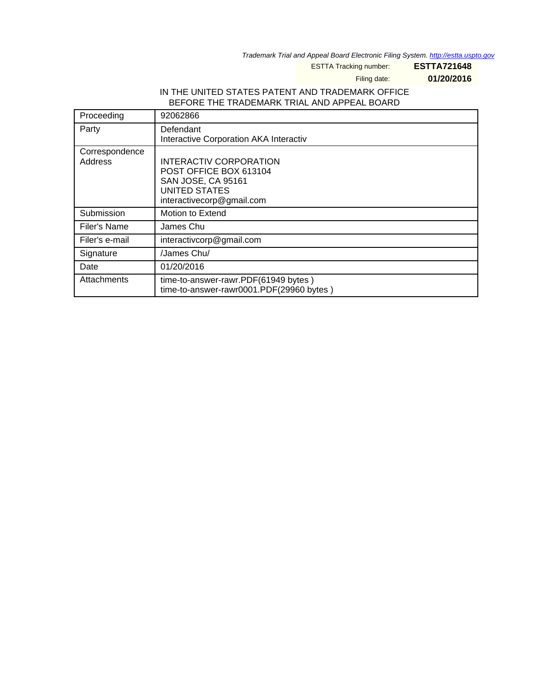Trademark Trial and Appeal Board Electronic Filing System. <http://estta.uspto.gov>

ESTTA Tracking number: **ESTTA721648**

Filing date: **01/20/2016**

# IN THE UNITED STATES PATENT AND TRADEMARK OFFICE BEFORE THE TRADEMARK TRIAL AND APPEAL BOARD

| Proceeding                | 92062866                                                                                                                    |
|---------------------------|-----------------------------------------------------------------------------------------------------------------------------|
| Party                     | Defendant<br>Interactive Corporation AKA Interactiv                                                                         |
| Correspondence<br>Address | INTERACTIV CORPORATION<br>POST OFFICE BOX 613104<br>SAN JOSE, CA 95161<br><b>UNITED STATES</b><br>interactivecorp@gmail.com |
| Submission                | Motion to Extend                                                                                                            |
| Filer's Name              | James Chu                                                                                                                   |
| Filer's e-mail            | interactivcorp@gmail.com                                                                                                    |
| Signature                 | /James Chu/                                                                                                                 |
| Date                      | 01/20/2016                                                                                                                  |
| Attachments               | time-to-answer-rawr.PDF(61949 bytes)<br>time-to-answer-rawr0001.PDF(29960 bytes)                                            |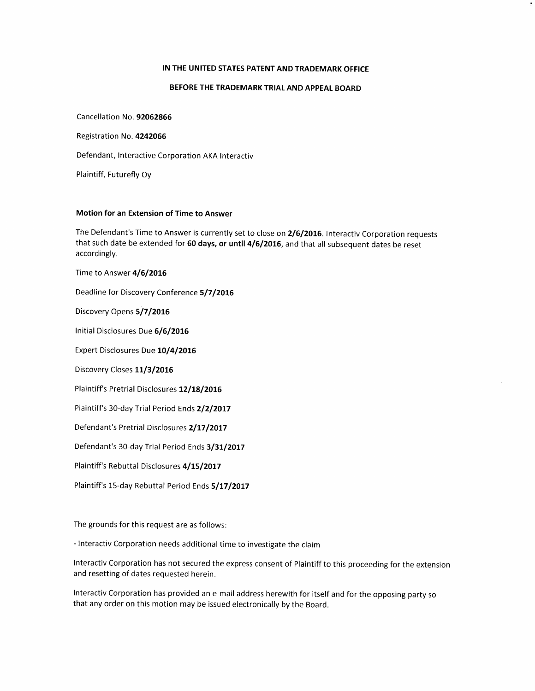### IN THE UNITED STATES PATENT AND TRADEMARK OFFICE

### BEFORE THE TRADEMARK TRIAL AND APPEAL BOARD

Cancellation No. 92062866

Registration No. 4242066

Defendant, Interactive Corporation AKA Interactiv

Plaintiff, Futurefly Oy

### Motion for an Extension of Time to Answer

The Defendant's Time to Answer is currently set to close on 2/6/2016. Interactiv Corporation requests that such date be extended for 60 days, or until 4/6/2016, and that all subsequent dates be reset accordingly.

Time to Answer 4/6/2016

Deadline for Discovery Conference 5/7/2016

Discovery Opens 5/7/2016

Initial Disclosures Due 6/6/2016

Expert Disclosures Due 10/4/2016

Discovery Closes 11/3/2016

Plaintiff's Pretrial Disclosures 12/18/2016

Plaintiff's 30-day Trial Period Ends 2/2/2017

Defendant's Pretrial Disclosures 2/17/2017

Defendant's 30-day Trial Period Ends 3/31/2017

Plaintiff's Rebuttal Disclosures 4/15/2017

Plaintiff's 15-day Rebuttal Period Ends 5/17/2017

The grounds for this request are as follows:

- Interactiv Corporation needs additional time to investigate the claim

Interactiv Corporation has not secured the express consent of Plaintiff to this proceeding for the extension and resetting of dates requested herein.

Interactiv Corporation has provided an e-mail address herewith for itself and for the opposing party so that any order on this motion may be issued electronically by the Board.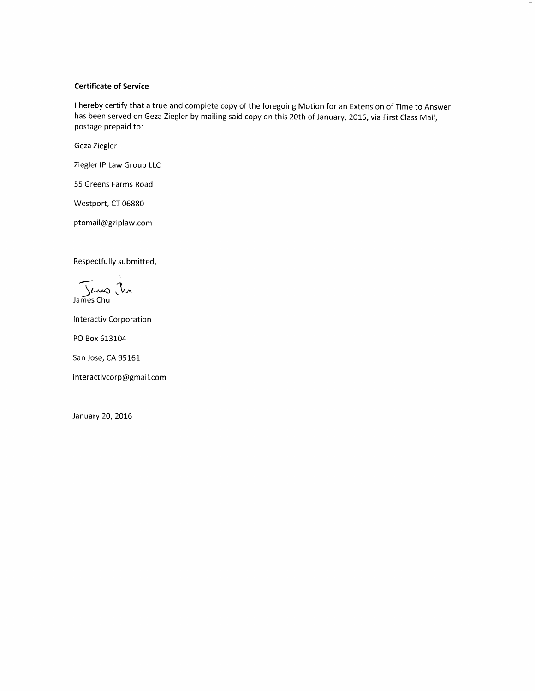## Certificate of Service

I hereby certify that a true and complete copy of the foregoing Motion for an Extension of Time to Answer has been served on Geza Ziegler by mailing said copy on this 20th of January, 2016, via First Class Mail, postage prepaid to:

Geza Ziegler

Ziegler lP Law Group LLC

55 Greens Farms Road

Westport, CT 06880

ptomail@gziplaw.com

Respectfully submitted,

Jl.مندع<br>James Chu

<sup>I</sup>nteractiv Corporation

PO Box 613104

San Jose, CA 95161

interactivcorp@gmail.com

January 20, 2016